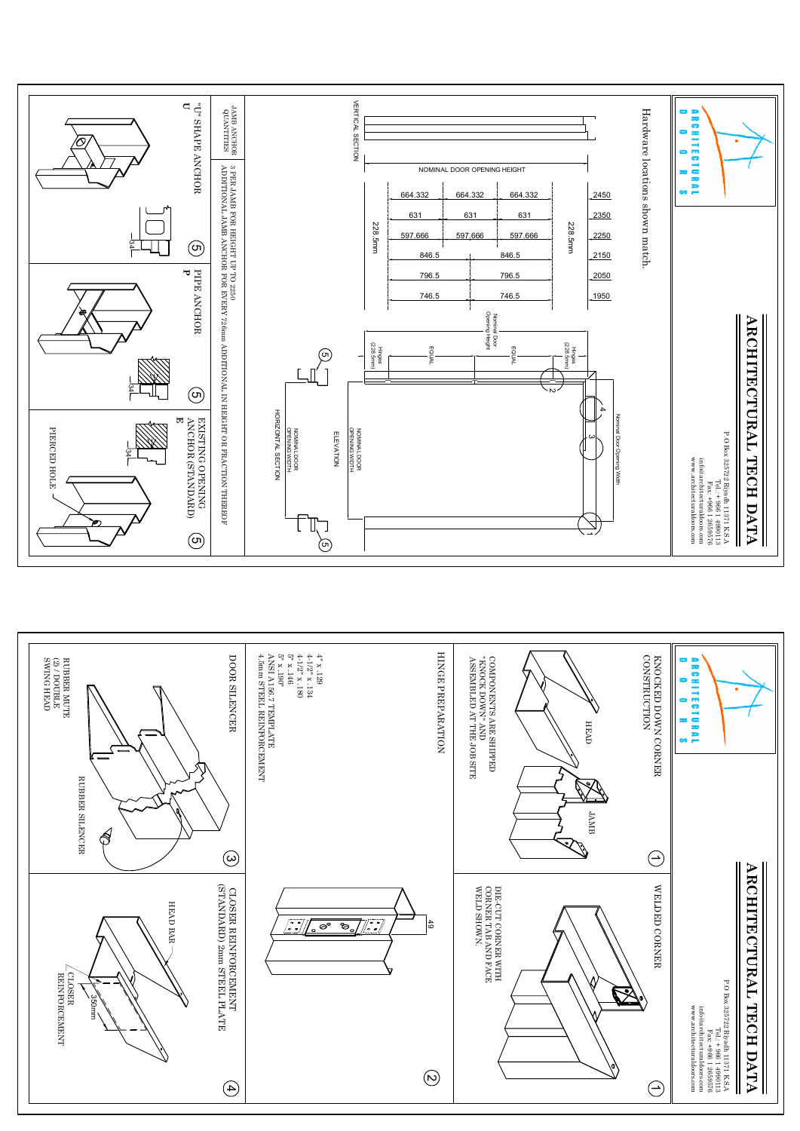